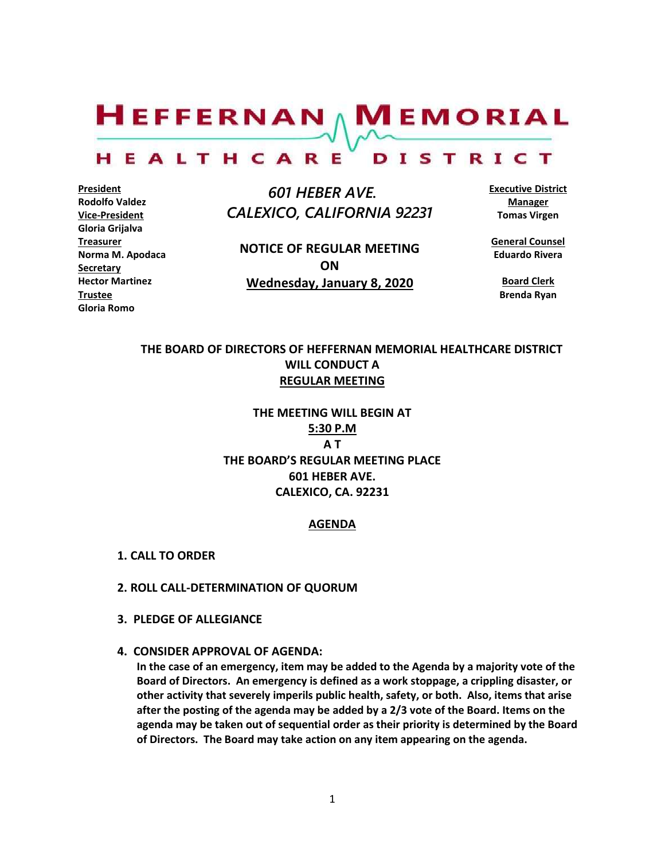$H$ EFFERNAN  $\wedge$  M EMORIAL

#### HEALTHCARE DISTRICT

**President Rodolfo Valdez Vice-President Gloria Grijalva Treasurer Norma M. Apodaca Secretary Hector Martinez Trustee Gloria Romo**

 *601 HEBER AVE. CALEXICO, CALIFORNIA 92231*

**NOTICE OF REGULAR MEETING ON Wednesday, January 8, 2020**

**Executive District Manager Tomas Virgen**

**General Counsel Eduardo Rivera**

**Board Clerk Brenda Ryan**

# **THE BOARD OF DIRECTORS OF HEFFERNAN MEMORIAL HEALTHCARE DISTRICT WILL CONDUCT A REGULAR MEETING**

**THE MEETING WILL BEGIN AT 5:30 P.M A T THE BOARD'S REGULAR MEETING PLACE 601 HEBER AVE. CALEXICO, CA. 92231**

#### **AGENDA**

- **1. CALL TO ORDER**
- **2. ROLL CALL-DETERMINATION OF QUORUM**
- **3. PLEDGE OF ALLEGIANCE**
- **4. CONSIDER APPROVAL OF AGENDA:**

**In the case of an emergency, item may be added to the Agenda by a majority vote of the Board of Directors. An emergency is defined as a work stoppage, a crippling disaster, or other activity that severely imperils public health, safety, or both. Also, items that arise after the posting of the agenda may be added by a 2/3 vote of the Board. Items on the agenda may be taken out of sequential order as their priority is determined by the Board of Directors. The Board may take action on any item appearing on the agenda.**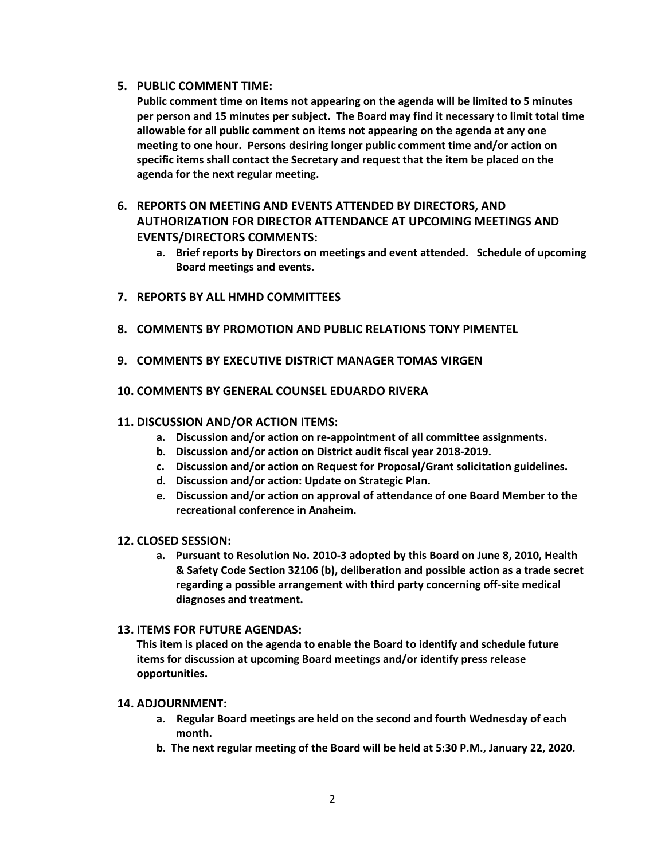## **5. PUBLIC COMMENT TIME:**

**Public comment time on items not appearing on the agenda will be limited to 5 minutes per person and 15 minutes per subject. The Board may find it necessary to limit total time allowable for all public comment on items not appearing on the agenda at any one meeting to one hour. Persons desiring longer public comment time and/or action on specific items shall contact the Secretary and request that the item be placed on the agenda for the next regular meeting.**

# **6. REPORTS ON MEETING AND EVENTS ATTENDED BY DIRECTORS, AND AUTHORIZATION FOR DIRECTOR ATTENDANCE AT UPCOMING MEETINGS AND EVENTS/DIRECTORS COMMENTS:**

- **a. Brief reports by Directors on meetings and event attended. Schedule of upcoming Board meetings and events.**
- **7. REPORTS BY ALL HMHD COMMITTEES**
- **8. COMMENTS BY PROMOTION AND PUBLIC RELATIONS TONY PIMENTEL**
- **9. COMMENTS BY EXECUTIVE DISTRICT MANAGER TOMAS VIRGEN**
- **10. COMMENTS BY GENERAL COUNSEL EDUARDO RIVERA**

### **11. DISCUSSION AND/OR ACTION ITEMS:**

- **a. Discussion and/or action on re-appointment of all committee assignments.**
- **b. Discussion and/or action on District audit fiscal year 2018-2019.**
- **c. Discussion and/or action on Request for Proposal/Grant solicitation guidelines.**
- **d. Discussion and/or action: Update on Strategic Plan.**
- **e. Discussion and/or action on approval of attendance of one Board Member to the recreational conference in Anaheim.**

### **12. CLOSED SESSION:**

**a. Pursuant to Resolution No. 2010-3 adopted by this Board on June 8, 2010, Health & Safety Code Section 32106 (b), deliberation and possible action as a trade secret regarding a possible arrangement with third party concerning off-site medical diagnoses and treatment.**

## **13. ITEMS FOR FUTURE AGENDAS:**

**This item is placed on the agenda to enable the Board to identify and schedule future items for discussion at upcoming Board meetings and/or identify press release opportunities.**

#### **14. ADJOURNMENT:**

- **a. Regular Board meetings are held on the second and fourth Wednesday of each month.**
- **b. The next regular meeting of the Board will be held at 5:30 P.M., January 22, 2020.**